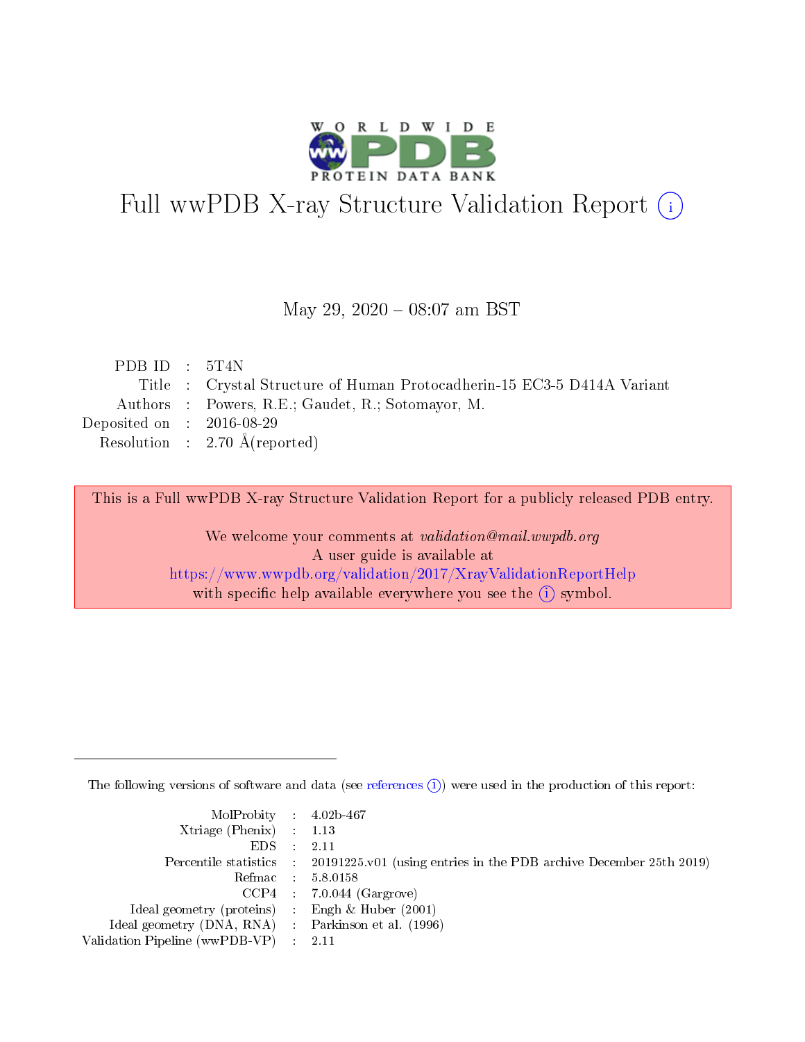

# Full wwPDB X-ray Structure Validation Report (i)

### May 29,  $2020 - 08:07$  am BST

| PDB ID : $5T4N$                                                         |
|-------------------------------------------------------------------------|
| Title : Crystal Structure of Human Protocadherin-15 EC3-5 D414A Variant |
| Authors : Powers, R.E.; Gaudet, R.; Sotomayor, M.                       |
| Deposited on : $2016-08-29$                                             |
| Resolution : $2.70 \text{ Å}$ (reported)                                |
|                                                                         |

This is a Full wwPDB X-ray Structure Validation Report for a publicly released PDB entry.

We welcome your comments at validation@mail.wwpdb.org A user guide is available at <https://www.wwpdb.org/validation/2017/XrayValidationReportHelp> with specific help available everywhere you see the  $(i)$  symbol.

The following versions of software and data (see [references](https://www.wwpdb.org/validation/2017/XrayValidationReportHelp#references)  $(i)$ ) were used in the production of this report:

| MolProbity : $4.02b-467$                            |                                                                                            |
|-----------------------------------------------------|--------------------------------------------------------------------------------------------|
| Xtriage (Phenix) $: 1.13$                           |                                                                                            |
| EDS -                                               | 2.11                                                                                       |
|                                                     | Percentile statistics : 20191225.v01 (using entries in the PDB archive December 25th 2019) |
|                                                     | Refmac 58.0158                                                                             |
|                                                     | $CCP4$ 7.0.044 (Gargrove)                                                                  |
| Ideal geometry (proteins) : Engh $\&$ Huber (2001)  |                                                                                            |
| Ideal geometry (DNA, RNA) : Parkinson et al. (1996) |                                                                                            |
| Validation Pipeline (wwPDB-VP)                      | -2.11                                                                                      |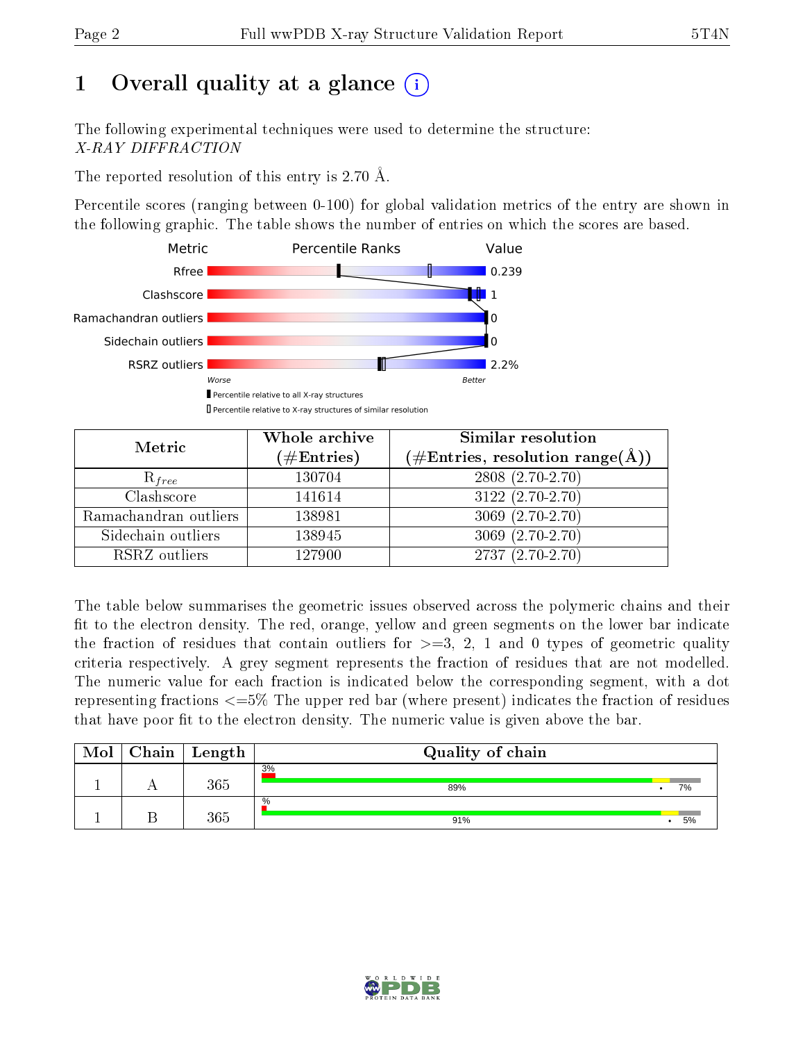# 1 [O](https://www.wwpdb.org/validation/2017/XrayValidationReportHelp#overall_quality)verall quality at a glance  $(i)$

The following experimental techniques were used to determine the structure: X-RAY DIFFRACTION

The reported resolution of this entry is 2.70 Å.

Percentile scores (ranging between 0-100) for global validation metrics of the entry are shown in the following graphic. The table shows the number of entries on which the scores are based.



| Metric                | Whole archive<br>$(\#\text{Entries})$ | Similar resolution<br>$(\#\text{Entries},\,\text{resolution}\,\,\text{range}(\textup{\AA}))$ |
|-----------------------|---------------------------------------|----------------------------------------------------------------------------------------------|
| $R_{free}$            | 130704                                | $2808(2.70-2.70)$                                                                            |
| Clashscore            | 141614                                | $3122(2.70-2.70)$                                                                            |
| Ramachandran outliers | 138981                                | $3069(2.70-2.70)$                                                                            |
| Sidechain outliers    | 138945                                | $3069(2.70-2.70)$                                                                            |
| RSRZ outliers         | 127900                                | $2737(2.70-2.70)$                                                                            |

The table below summarises the geometric issues observed across the polymeric chains and their fit to the electron density. The red, orange, yellow and green segments on the lower bar indicate the fraction of residues that contain outliers for  $>=3, 2, 1$  and 0 types of geometric quality criteria respectively. A grey segment represents the fraction of residues that are not modelled. The numeric value for each fraction is indicated below the corresponding segment, with a dot representing fractions  $\epsilon=5\%$  The upper red bar (where present) indicates the fraction of residues that have poor fit to the electron density. The numeric value is given above the bar.

| Mol | Chain | $\vert$ Length | Quality of chain |    |
|-----|-------|----------------|------------------|----|
|     |       | 365            | 3%<br>89%        | 7% |
|     |       | 365            | %<br>91%         | 5% |

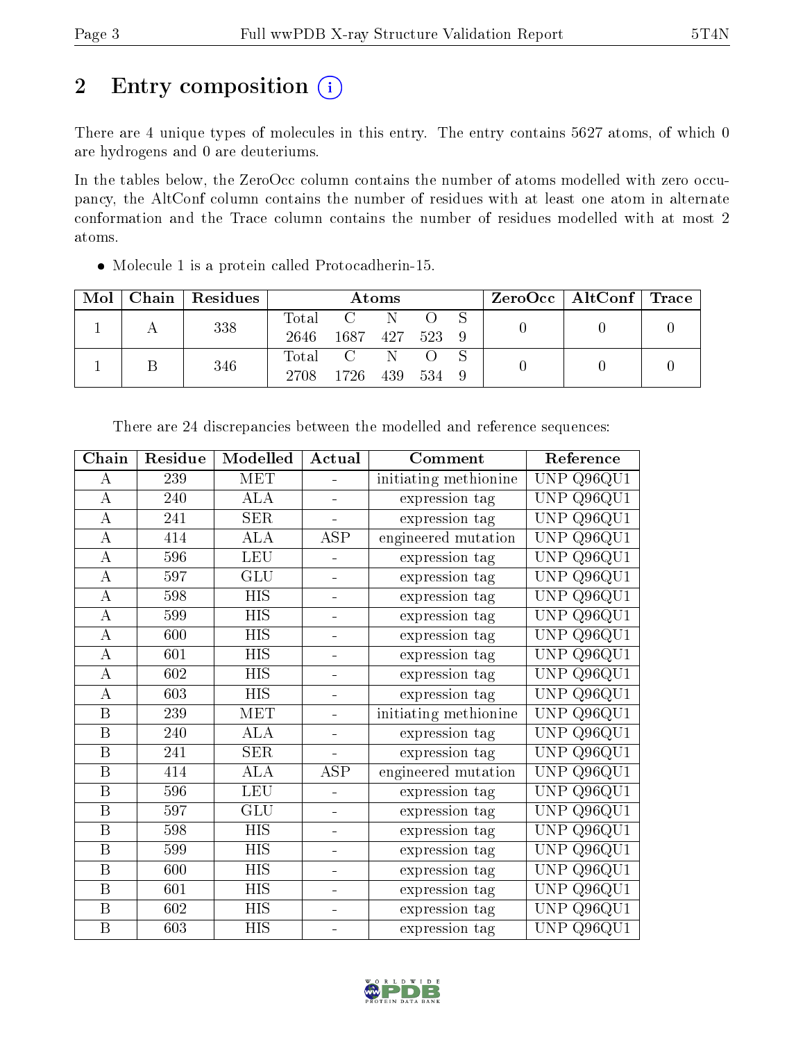# 2 Entry composition (i)

There are 4 unique types of molecules in this entry. The entry contains 5627 atoms, of which 0 are hydrogens and 0 are deuteriums.

In the tables below, the ZeroOcc column contains the number of atoms modelled with zero occupancy, the AltConf column contains the number of residues with at least one atom in alternate conformation and the Trace column contains the number of residues modelled with at most 2 atoms.

| Mol |     | Chain Residues | Atoms             |           |     |  | $\text{ZeroOcc}$   AltConf   Trace |  |  |
|-----|-----|----------------|-------------------|-----------|-----|--|------------------------------------|--|--|
|     |     | 338            |                   | Total C N |     |  |                                    |  |  |
|     |     |                | 2646 1687 427 523 |           |     |  |                                    |  |  |
|     | 346 |                | Total C N O S     |           |     |  |                                    |  |  |
|     |     |                | 2708 1726 439     |           | 534 |  |                                    |  |  |

Molecule 1 is a protein called Protocadherin-15.

| Chain              | Residue | Modelled                  | Actual         | Comment               | Reference                         |
|--------------------|---------|---------------------------|----------------|-----------------------|-----------------------------------|
| А                  | 239     | <b>MET</b>                |                | initiating methionine | Q96QU1<br><b>UNP</b>              |
| A                  | 240     | <b>ALA</b>                | ÷,             | expression tag        | Q96QU1<br><b>UNP</b>              |
| A                  | 241     | SER                       | $\overline{a}$ | expression tag        | <b>UNP</b><br>Q96QU1              |
| A                  | 414     | $\rm AL\overline{A}$      | ASP            | engineered mutation   | Q96QU1<br><b>UNP</b>              |
| A                  | 596     | LEU                       | -              | expression tag        | Q96QU1<br><b>UNP</b>              |
| $\overline{\rm A}$ | 597     | GLU                       | ÷              | expression tag        | <b>UNP</b><br>Q96QU1              |
| $\boldsymbol{A}$   | 598     | <b>HIS</b>                | ÷              | expression tag        | Q96QU1<br><b>UNP</b>              |
| А                  | 599     | <b>HIS</b>                | -              | expression tag        | Q96QU1<br><b>UNP</b>              |
| A                  | 600     | <b>HIS</b>                | ÷              | expression tag        | Q96QU1<br><b>UNP</b>              |
| А                  | 601     | $\overline{\mathrm{HIS}}$ | ÷,             | expression tag        | Q96QU1<br><b>UNP</b>              |
| А                  | 602     | <b>HIS</b>                | ÷              | expression tag        | Q96QU1<br><b>UNP</b>              |
| A                  | 603     | <b>HIS</b>                | 4              | expression tag        | Q96QU1<br><b>UNP</b>              |
| B                  | 239     | MET                       | ÷,             | initiating methionine | <b>UNP</b><br>Q96QU1              |
| B                  | 240     | <b>ALA</b>                | ÷              | expression tag        | Q96QU1<br><b>UNP</b>              |
| $\, {\bf B}$       | 241     | <b>SER</b>                |                | expression tag        | Q96QU1<br><b>UNP</b>              |
| $\, {\bf B}$       | 414     | ALA                       | ASP            | engineered mutation   | Q96QU1<br><b>UNP</b>              |
| $\, {\bf B}$       | 596     | <b>LEU</b>                | 4              | expression tag        | Q96QU1<br><b>UNP</b>              |
| B                  | 597     | GLU                       | $\blacksquare$ | expression tag        | Q96QU1<br><b>UNP</b>              |
| $\, {\bf B}$       | 598     | <b>HIS</b>                | ÷              | expression tag        | Q96QU1<br><b>UNP</b>              |
| B                  | 599     | <b>HIS</b>                | ÷,             | expression tag        | $\overline{Q96QU1}$<br><b>UNP</b> |
| $\, {\bf B}$       | 600     | <b>HIS</b>                | -              | expression tag        | Q96QU1<br><b>UNP</b>              |
| B                  | 601     | <b>HIS</b>                | -              | expression tag        | Q96QU1<br><b>UNP</b>              |
| $\boldsymbol{B}$   | 602     | <b>HIS</b>                | ÷,             | expression tag        | Q96QU1<br><b>UNP</b>              |
| B                  | 603     | <b>HIS</b>                |                | expression tag        | Q96QU1<br><b>UNP</b>              |

There are 24 discrepancies between the modelled and reference sequences:

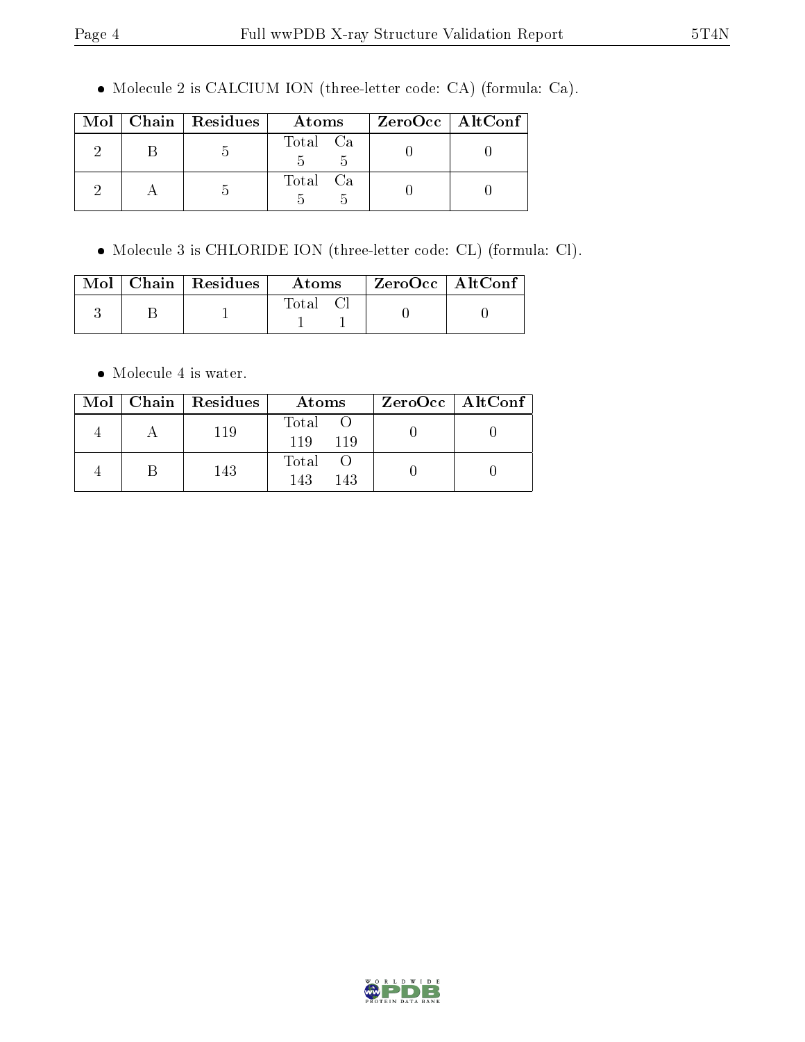Molecule 2 is CALCIUM ION (three-letter code: CA) (formula: Ca).

|  | $Mol$   Chain   Residues | Atoms    | $ZeroOcc \   \ AltConf$ |
|--|--------------------------|----------|-------------------------|
|  |                          | Total Ca |                         |
|  |                          | Total Ca |                         |

Molecule 3 is CHLORIDE ION (three-letter code: CL) (formula: Cl).

|  | $\text{Mol}$   Chain   Residues | Atoms | $^{\shortmid}$ ZeroOcc $\mid$ AltConf $^{\shortmid}$ |  |
|--|---------------------------------|-------|------------------------------------------------------|--|
|  |                                 | Total |                                                      |  |

Molecule 4 is water.

|  | Mol   Chain   Residues | Atoms               | $ZeroOcc \   \$ AltConf |
|--|------------------------|---------------------|-------------------------|
|  | 119                    | Total<br>119<br>119 |                         |
|  | 143                    | Total<br>143<br>143 |                         |

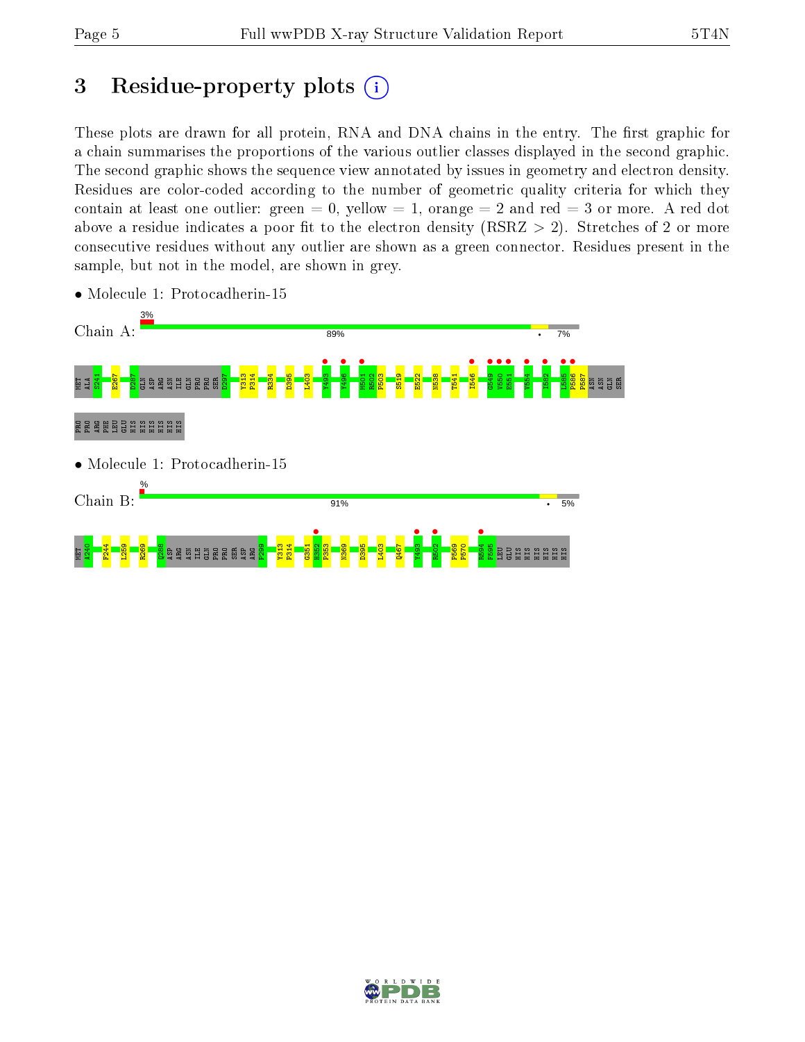$\mathbb{E}$ 

# 3 Residue-property plots  $(i)$

These plots are drawn for all protein, RNA and DNA chains in the entry. The first graphic for a chain summarises the proportions of the various outlier classes displayed in the second graphic. The second graphic shows the sequence view annotated by issues in geometry and electron density. Residues are color-coded according to the number of geometric quality criteria for which they contain at least one outlier: green  $= 0$ , yellow  $= 1$ , orange  $= 2$  and red  $= 3$  or more. A red dot above a residue indicates a poor fit to the electron density (RSRZ  $> 2$ ). Stretches of 2 or more consecutive residues without any outlier are shown as a green connector. Residues present in the sample, but not in the model, are shown in grey.



• Molecule 1: Protocadherin-15

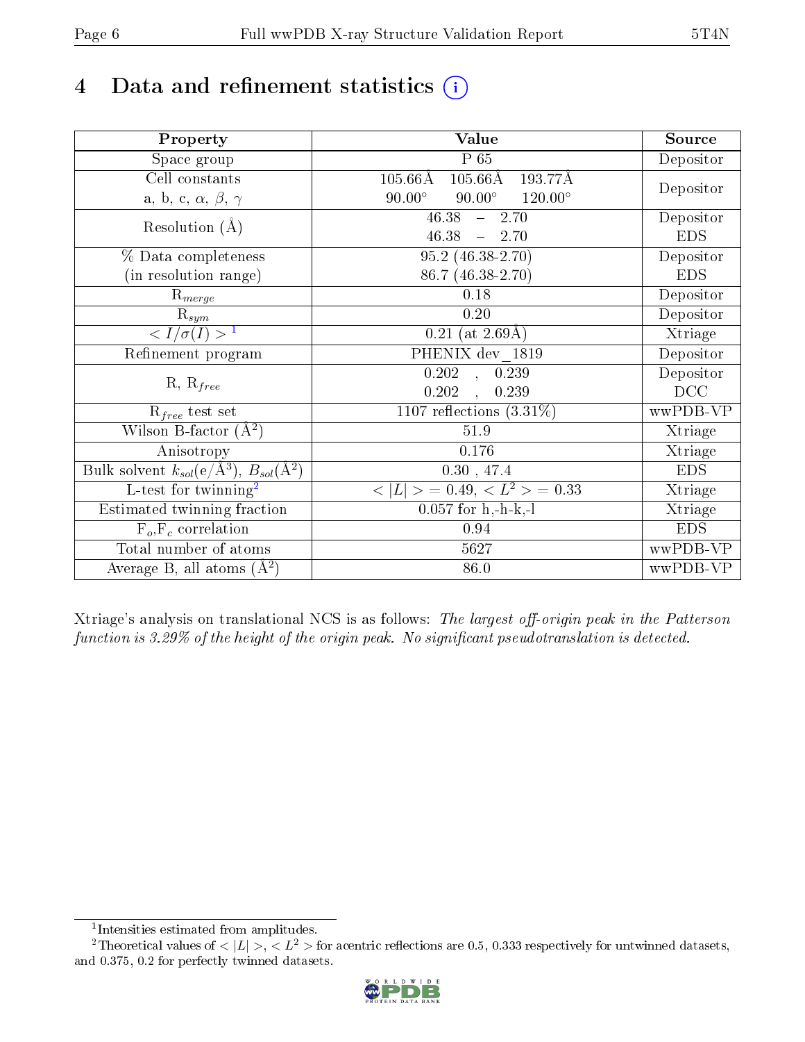# 4 Data and refinement statistics  $(i)$

| Property                                                             | Value                                               | Source     |
|----------------------------------------------------------------------|-----------------------------------------------------|------------|
| Space group                                                          | P 65                                                | Depositor  |
| Cell constants                                                       | $105.66\text{\AA}$<br>$105.66\text{\AA}$<br>193.77Å |            |
| a, b, c, $\alpha$ , $\beta$ , $\gamma$                               | $90.00^\circ$<br>$90.00^\circ$<br>$120.00^{\circ}$  | Depositor  |
| Resolution $(A)$                                                     | 46.38<br>$-2.70$                                    | Depositor  |
|                                                                      | 46.38<br>$-2.70$                                    | <b>EDS</b> |
| % Data completeness                                                  | $95.2(46.38-2.70)$                                  | Depositor  |
| (in resolution range)                                                | 86.7 (46.38-2.70)                                   | <b>EDS</b> |
| $R_{merge}$                                                          | 0.18                                                | Depositor  |
| $\mathrm{R}_{sym}$                                                   | 0.20                                                | Depositor  |
| $\langle I/\sigma(I) \rangle$ <sup>1</sup>                           | $0.21$ (at 2.69Å)                                   | Xtriage    |
| Refinement program                                                   | PHENIX dev 1819                                     | Depositor  |
|                                                                      | 0.202<br>0.239<br>$\sim$                            | Depositor  |
| $R, R_{free}$                                                        | 0.202<br>0.239                                      | DCC        |
| $\mathcal{R}_{free}$ test set                                        | 1107 reflections $(3.31\%)$                         | wwPDB-VP   |
| Wilson B-factor $(A^2)$                                              | 51.9                                                | Xtriage    |
| Anisotropy                                                           | 0.176                                               | Xtriage    |
| Bulk solvent $k_{sol}(e/\mathring{A}^3)$ , $B_{sol}(\mathring{A}^2)$ | 0.30, 47.4                                          | <b>EDS</b> |
| L-test for twinning <sup>2</sup>                                     | $< L >$ = 0.49, $< L2$ = 0.33                       | Xtriage    |
| Estimated twinning fraction                                          | $0.057$ for h,-h-k,-l                               | Xtriage    |
| $F_o, F_c$ correlation                                               | 0.94                                                | <b>EDS</b> |
| Total number of atoms                                                | 5627                                                | wwPDB-VP   |
| Average B, all atoms $(A^2)$                                         | 86.0                                                | wwPDB-VP   |

Xtriage's analysis on translational NCS is as follows: The largest off-origin peak in the Patterson function is  $3.29\%$  of the height of the origin peak. No significant pseudotranslation is detected.

<sup>&</sup>lt;sup>2</sup>Theoretical values of  $\langle |L| \rangle$ ,  $\langle L^2 \rangle$  for acentric reflections are 0.5, 0.333 respectively for untwinned datasets, and 0.375, 0.2 for perfectly twinned datasets.



<span id="page-5-1"></span><span id="page-5-0"></span><sup>1</sup> Intensities estimated from amplitudes.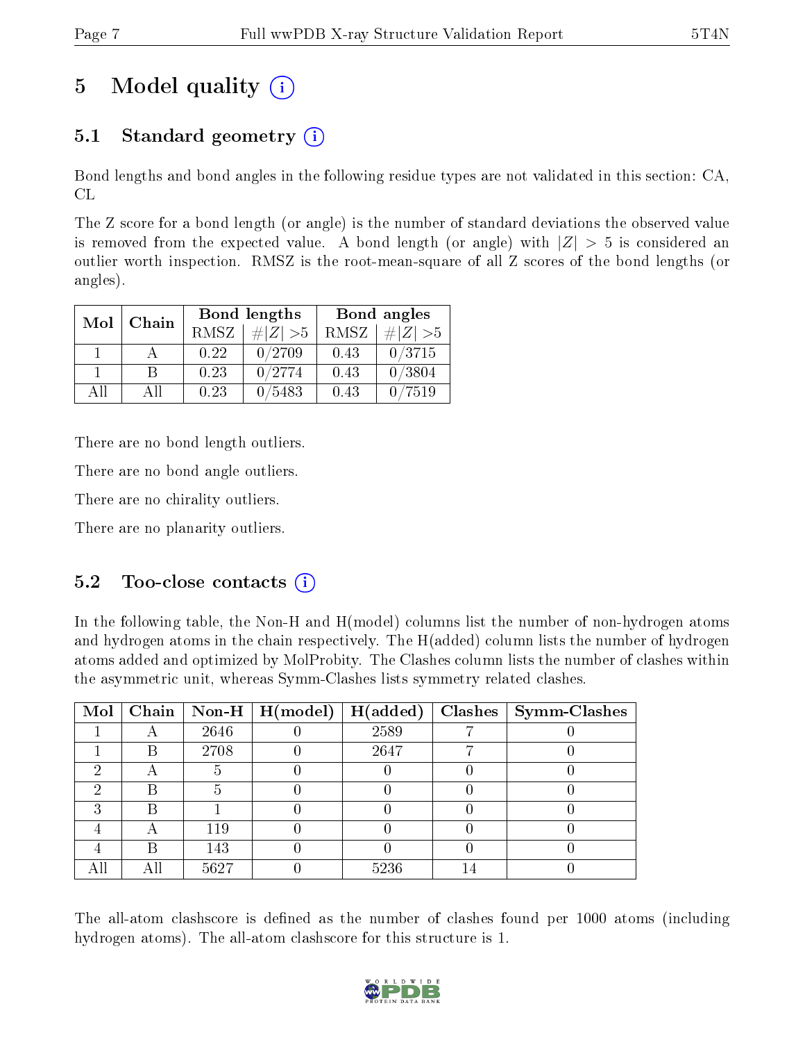# 5 Model quality  $(i)$

# 5.1 Standard geometry  $(i)$

Bond lengths and bond angles in the following residue types are not validated in this section: CA, CL

The Z score for a bond length (or angle) is the number of standard deviations the observed value is removed from the expected value. A bond length (or angle) with  $|Z| > 5$  is considered an outlier worth inspection. RMSZ is the root-mean-square of all Z scores of the bond lengths (or angles).

| Mol | Chain |             | Bond lengths | Bond angles |             |  |
|-----|-------|-------------|--------------|-------------|-------------|--|
|     |       | <b>RMSZ</b> | $\# Z  > 5$  | RMSZ        | $\# Z  > 5$ |  |
|     |       | 0.22        | 0/2709       | 0.43        | 0/3715      |  |
|     |       | 0.23        | 0/2774       | 0.43        | 0/3804      |  |
| ΔĦ  | A 11  | 0.23        | 5483         | 0.43        | 7519        |  |

There are no bond length outliers.

There are no bond angle outliers.

There are no chirality outliers.

There are no planarity outliers.

### $5.2$  Too-close contacts  $(i)$

In the following table, the Non-H and H(model) columns list the number of non-hydrogen atoms and hydrogen atoms in the chain respectively. The H(added) column lists the number of hydrogen atoms added and optimized by MolProbity. The Clashes column lists the number of clashes within the asymmetric unit, whereas Symm-Clashes lists symmetry related clashes.

| Mol |      |      | $\boxed{\text{Chain} \mid \text{Non-H} \mid \text{H}(\text{model})}$ | H(added) | Clashes   Symm-Clashes |
|-----|------|------|----------------------------------------------------------------------|----------|------------------------|
|     |      | 2646 |                                                                      | 2589     |                        |
|     | R    | 2708 |                                                                      | 2647     |                        |
| 6)  |      |      |                                                                      |          |                        |
|     | B    |      |                                                                      |          |                        |
|     | B    |      |                                                                      |          |                        |
|     |      | 119  |                                                                      |          |                        |
|     |      | 143  |                                                                      |          |                        |
|     | A 11 | 5627 |                                                                      | 5236     |                        |

The all-atom clashscore is defined as the number of clashes found per 1000 atoms (including hydrogen atoms). The all-atom clashscore for this structure is 1.

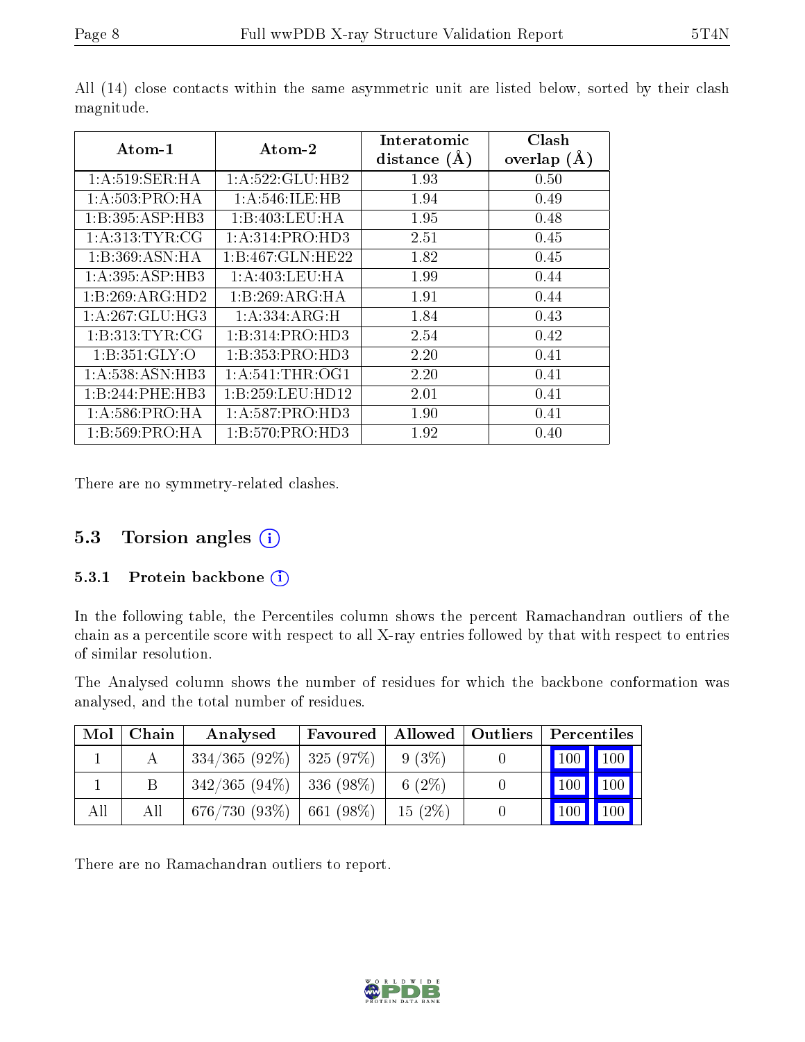| Atom-1             | Atom-2              | Interatomic<br>distance $(A)$ | Clash<br>overlap $(A)$ |  |
|--------------------|---------------------|-------------------------------|------------------------|--|
| 1: A:519: SER: HA  | 1: A:522: GLU:HB2   | 1.93                          | 0.50                   |  |
| 1: A:503:PRO:HA    | 1: A:546: ILE: HB   | 1.94                          | 0.49                   |  |
| 1:B:395:ASP:HB3    | 1:B:403:LEU:HA      | 1.95                          | 0.48                   |  |
| 1: A:313: TYR: CG  | 1: A:314: PRO:HD3   | 2.51                          | 0.45                   |  |
| 1:B:369:ASN:HA     | 1:B:467:GLN:HE22    | 1.82                          | 0.45                   |  |
| 1:A:395:ASP:HB3    | 1:A:403:LEU:HA      | 1.99                          | 0.44                   |  |
| 1:B:269:ARG:HD2    | 1:B:269:ARG:HA      | 1.91                          | 0.44                   |  |
| 1: A:267: GLU:HG3  | 1: A: 334: ARG: H   | 1.84                          | 0.43                   |  |
| 1: B: 313: TYR: CG | 1:B:314:PRO:HD3     | 2.54                          | 0.42                   |  |
| 1: B: 351: GLY: O  | 1:B:353:PRO:HD3     | 2.20                          | 0.41                   |  |
| 1:A:538:ASN:HB3    | 1: A:541:THR:OG1    | 2.20                          | 0.41                   |  |
| 1:B:244:PHE:HB3    | 1:B:259:LEU:HD12    | 2.01                          | 0.41                   |  |
| 1: A:586: PRO:HA   | 1: A:587: PRO:HD3   | 1.90                          | 0.41                   |  |
| 1: B:569: PRO:HA   | 1: B: 570: PRO: HD3 | 1.92                          | 0.40                   |  |

All (14) close contacts within the same asymmetric unit are listed below, sorted by their clash magnitude.

There are no symmetry-related clashes.

### 5.3 Torsion angles (i)

#### 5.3.1 Protein backbone (i)

In the following table, the Percentiles column shows the percent Ramachandran outliers of the chain as a percentile score with respect to all X-ray entries followed by that with respect to entries of similar resolution.

The Analysed column shows the number of residues for which the backbone conformation was analysed, and the total number of residues.

| Mol | Chain | Analysed                      | Favoured |           | Allowed   Outliers   Percentiles |
|-----|-------|-------------------------------|----------|-----------|----------------------------------|
|     |       | $334/365 (92\%)$   325 (97\%) |          | $9(3\%)$  | 100 100                          |
|     | В     | $342/365 (94\%)$ 336 (98\%)   |          | 6 $(2\%)$ | 100                              |
| All | All   | $676/730 (93\%)$ 661 (98\%)   |          | $15(2\%)$ | 100<br>$^{\backprime}$ 100       |

There are no Ramachandran outliers to report.

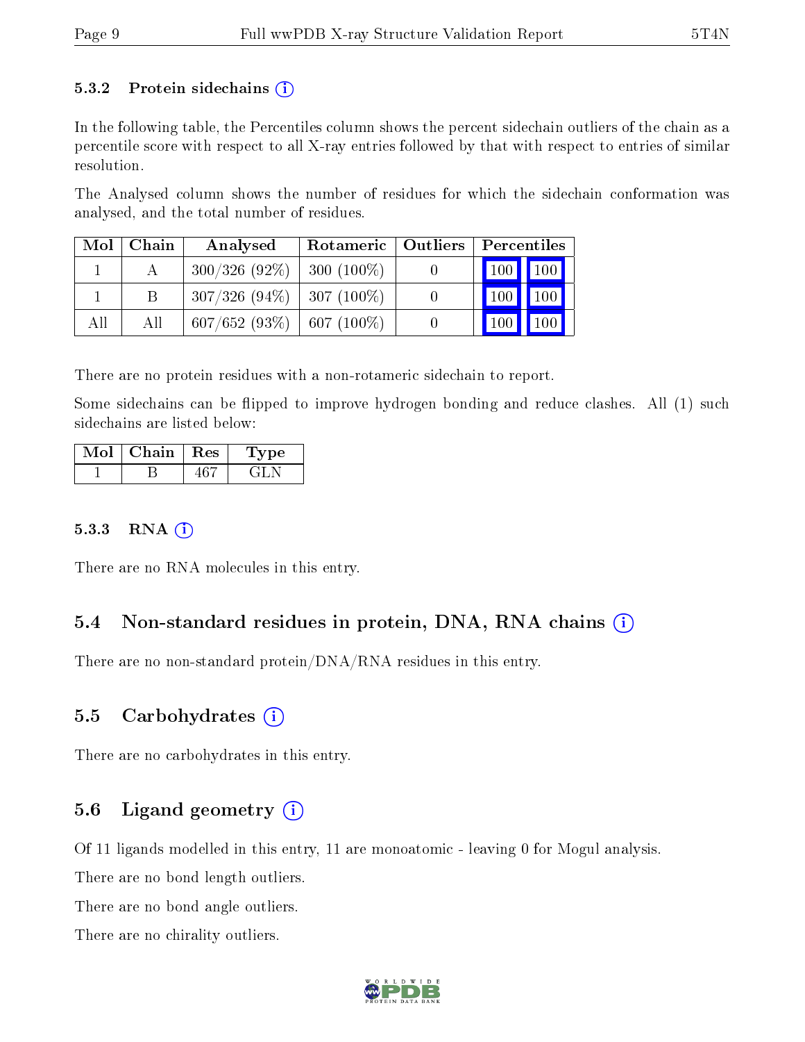#### 5.3.2 Protein sidechains  $(i)$

In the following table, the Percentiles column shows the percent sidechain outliers of the chain as a percentile score with respect to all X-ray entries followed by that with respect to entries of similar resolution.

The Analysed column shows the number of residues for which the sidechain conformation was analysed, and the total number of residues.

|     | $Mol$   Chain | Analysed                       | Rotameric   Outliers   Percentiles |                                 |  |
|-----|---------------|--------------------------------|------------------------------------|---------------------------------|--|
|     |               | $300/326(92\%)$                | $300(100\%)$                       | 100 100                         |  |
|     |               | $307/326$ (94\%)   307 (100\%) |                                    | $\vert$ 100 $\vert$ 100 $\vert$ |  |
| All | All           | $607/652$ (93\%)   607 (100\%) |                                    | $100$ 100                       |  |

There are no protein residues with a non-rotameric sidechain to report.

Some sidechains can be flipped to improve hydrogen bonding and reduce clashes. All (1) such sidechains are listed below:

| Mol | Chain | $\perp$ Res | Lype |
|-----|-------|-------------|------|
|     |       |             |      |

#### 5.3.3 RNA [O](https://www.wwpdb.org/validation/2017/XrayValidationReportHelp#rna)i

There are no RNA molecules in this entry.

### 5.4 Non-standard residues in protein, DNA, RNA chains (i)

There are no non-standard protein/DNA/RNA residues in this entry.

### 5.5 Carbohydrates (i)

There are no carbohydrates in this entry.

### 5.6 Ligand geometry  $(i)$

Of 11 ligands modelled in this entry, 11 are monoatomic - leaving 0 for Mogul analysis.

There are no bond length outliers.

There are no bond angle outliers.

There are no chirality outliers.

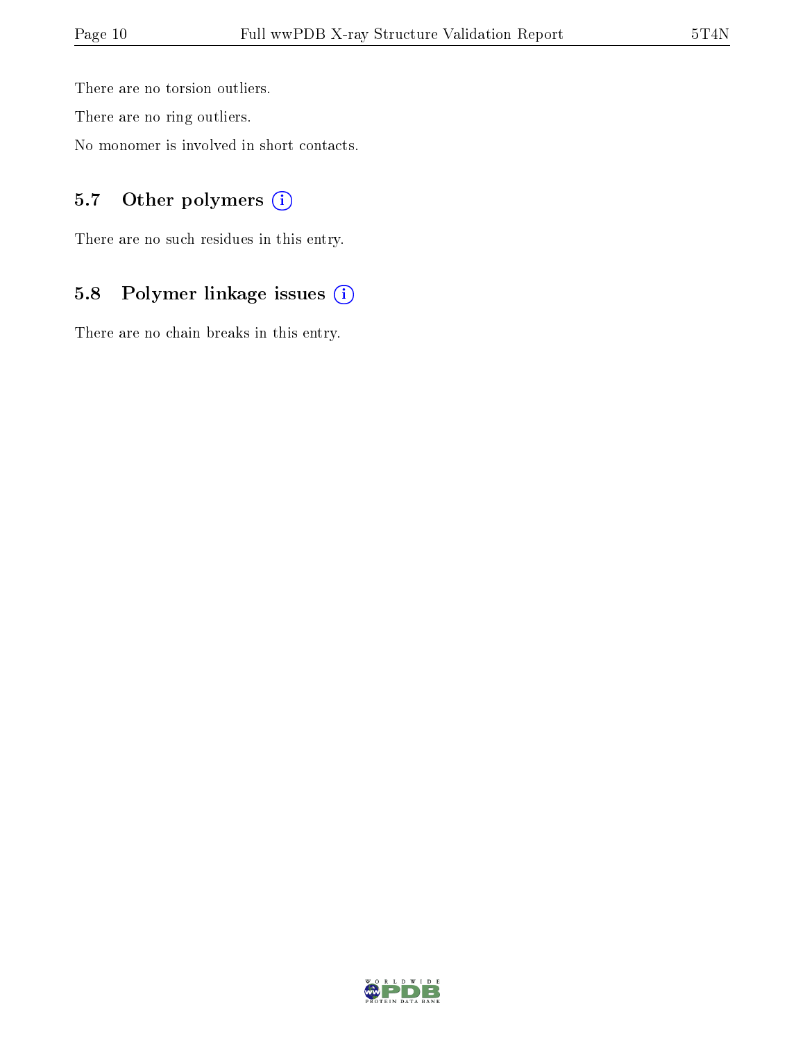There are no torsion outliers.

There are no ring outliers.

No monomer is involved in short contacts.

### 5.7 [O](https://www.wwpdb.org/validation/2017/XrayValidationReportHelp#nonstandard_residues_and_ligands)ther polymers (i)

There are no such residues in this entry.

# 5.8 Polymer linkage issues (i)

There are no chain breaks in this entry.

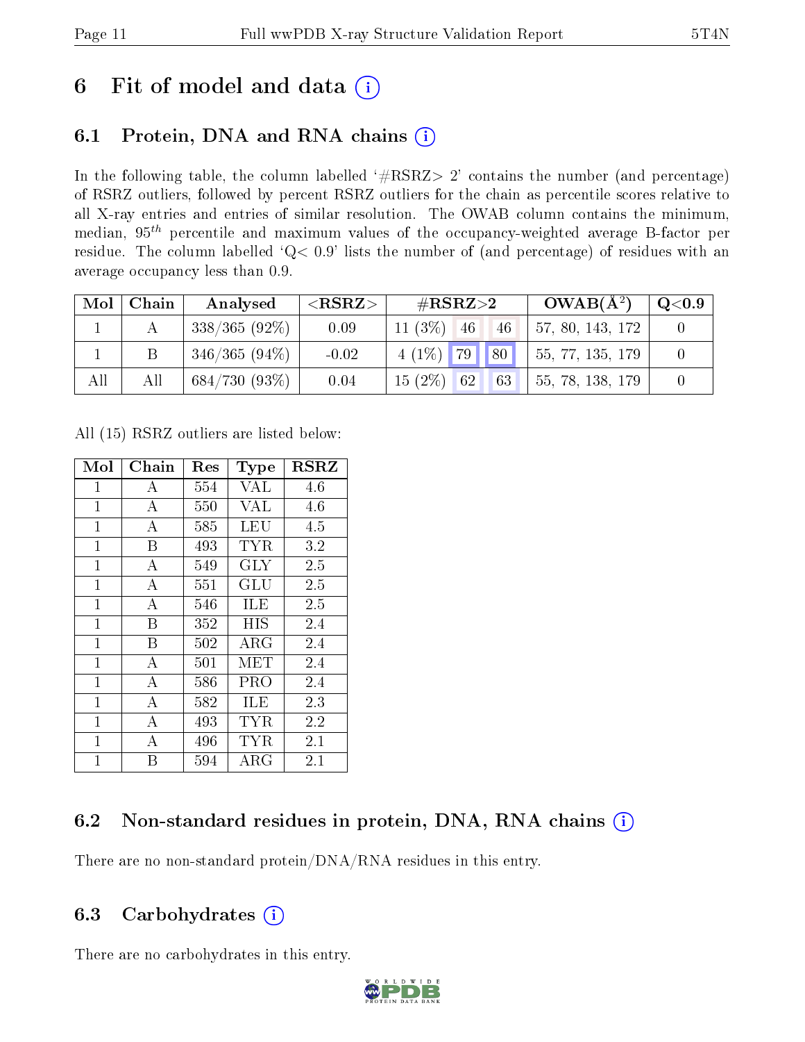# 6 Fit of model and data  $(i)$

# 6.1 Protein, DNA and RNA chains  $(i)$

In the following table, the column labelled  $#RSRZ> 2'$  contains the number (and percentage) of RSRZ outliers, followed by percent RSRZ outliers for the chain as percentile scores relative to all X-ray entries and entries of similar resolution. The OWAB column contains the minimum, median,  $95<sup>th</sup>$  percentile and maximum values of the occupancy-weighted average B-factor per residue. The column labelled ' $Q< 0.9$ ' lists the number of (and percentage) of residues with an average occupancy less than 0.9.

| Mol | Chain | Analysed        | ${ <\hspace{-1.5pt}{\mathrm{RSRZ}} \hspace{-1.5pt}>}$ | # $RSRZ>2$            | $OWAB(A^2)$      | $\rm Q\textcolor{black}{<}0.9$ |
|-----|-------|-----------------|-------------------------------------------------------|-----------------------|------------------|--------------------------------|
|     |       | $338/365(92\%)$ | 0.09                                                  | $11(3\%)$<br>46<br>46 | 57, 80, 143, 172 |                                |
|     |       | $346/365(94\%)$ | $-0.02$                                               | 80 <br>$4(1\%)$ 79    | 55, 77, 135, 179 |                                |
| All | All   | 684/730(93%)    | 0.04                                                  | $15(2\%)$ 62<br>63    | 55, 78, 138, 179 |                                |

All (15) RSRZ outliers are listed below:

| Mol            | ${\rm Chain}$    | Res | Type        | <b>RSRZ</b> |
|----------------|------------------|-----|-------------|-------------|
| $\mathbf 1$    | А                | 554 | <b>VAL</b>  | 4.6         |
| $\mathbf{1}$   | А                | 550 | VAL         | 4.6         |
| $\mathbf{1}$   | $\boldsymbol{A}$ | 585 | <b>LEU</b>  | 4.5         |
| $\mathbf{1}$   | В                | 493 | <b>TYR</b>  | 3.2         |
| $\mathbf{1}$   | А                | 549 | <b>GLY</b>  | 2.5         |
| $\mathbf{1}$   | $\boldsymbol{A}$ | 551 | GLU         | 2.5         |
| $\overline{1}$ | A                | 546 | ILE         | 2.5         |
| $\mathbf{1}$   | B                | 352 | HIS         | 2.4         |
| $\mathbf{1}$   | B                | 502 | $\rm{ARG}$  | 2.4         |
| $\overline{1}$ | $\overline{A}$   | 501 | MET         | 2.4         |
| $\mathbf{1}$   | А                | 586 | PRO         | 2.4         |
| $\mathbf{1}$   | $\boldsymbol{A}$ | 582 | ILE         | 2.3         |
| $\mathbf{1}$   | $\overline{A}$   | 493 | TYR         | 2.2         |
| $\mathbf{1}$   | А                | 496 | TYR         | 2.1         |
| $\mathbf{1}$   | В                | 594 | ${\rm ARG}$ | 2.1         |

# 6.2 Non-standard residues in protein, DNA, RNA chains (i)

There are no non-standard protein/DNA/RNA residues in this entry.

### 6.3 Carbohydrates  $(i)$

There are no carbohydrates in this entry.